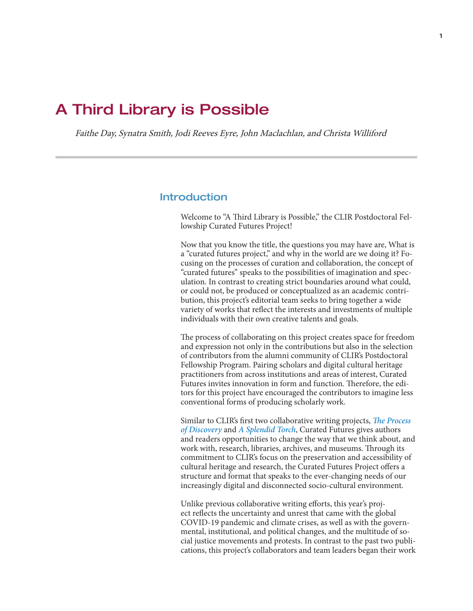# A Third Library is Possible

Faithe Day, Synatra Smith, Jodi Reeves Eyre, John Maclachlan, and Christa Williford

#### Introduction

Welcome to "A Third Library is Possible," the CLIR Postdoctoral Fellowship Curated Futures Project!

Now that you know the title, the questions you may have are, What is a "curated futures project," and why in the world are we doing it? Focusing on the processes of curation and collaboration, the concept of "curated futures" speaks to the possibilities of imagination and speculation. In contrast to creating strict boundaries around what could, or could not, be produced or conceptualized as an academic contribution, this project's editorial team seeks to bring together a wide variety of works that reflect the interests and investments of multiple individuals with their own creative talents and goals.

The process of collaborating on this project creates space for freedom and expression not only in the contributions but also in the selection of contributors from the alumni community of CLIR's Postdoctoral Fellowship Program. Pairing scholars and digital cultural heritage practitioners from across institutions and areas of interest, Curated Futures invites innovation in form and function. Therefore, the editors for this project have encouraged the contributors to imagine less conventional forms of producing scholarly work.

Similar to CLIR's first two collaborative writing projects, *[The Process](https://www.clir.org/pubs/reports/pub167/)  [of Discovery](https://www.clir.org/pubs/reports/pub167/)* and *[A Splendid Torch](https://www.clir.org/pubs/reports/pub174/)*, Curated Futures gives authors and readers opportunities to change the way that we think about, and work with, research, libraries, archives, and museums. Through its commitment to CLIR's focus on the preservation and accessibility of cultural heritage and research, the Curated Futures Project offers a structure and format that speaks to the ever-changing needs of our increasingly digital and disconnected socio-cultural environment.

Unlike previous collaborative writing efforts, this year's project reflects the uncertainty and unrest that came with the global COVID-19 pandemic and climate crises, as well as with the governmental, institutional, and political changes, and the multitude of social justice movements and protests. In contrast to the past two publications, this project's collaborators and team leaders began their work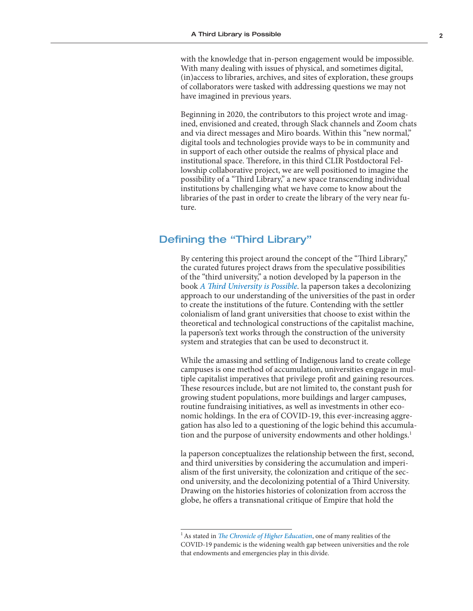with the knowledge that in-person engagement would be impossible. With many dealing with issues of physical, and sometimes digital, (in)access to libraries, archives, and sites of exploration, these groups of collaborators were tasked with addressing questions we may not have imagined in previous years.

Beginning in 2020, the contributors to this project wrote and imagined, envisioned and created, through Slack channels and Zoom chats and via direct messages and Miro boards. Within this "new normal," digital tools and technologies provide ways to be in community and in support of each other outside the realms of physical place and institutional space. Therefore, in this third CLIR Postdoctoral Fellowship collaborative project, we are well positioned to imagine the possibility of a "Third Library," a new space transcending individual institutions by challenging what we have come to know about the libraries of the past in order to create the library of the very near future.

### Defining the "Third Library"

By centering this project around the concept of the "Third Library," the curated futures project draws from the speculative possibilities of the "third university," a notion developed by la paperson in the book *[A Third University is Possible](https://www.upress.umn.edu/book-division/books/a-third-university-is-possible)*. la paperson takes a decolonizing approach to our understanding of the universities of the past in order to create the institutions of the future. Contending with the settler colonialism of land grant universities that choose to exist within the theoretical and technological constructions of the capitalist machine, la paperson's text works through the construction of the university system and strategies that can be used to deconstruct it.

While the amassing and settling of Indigenous land to create college campuses is one method of accumulation, universities engage in multiple capitalist imperatives that privilege profit and gaining resources. These resources include, but are not limited to, the constant push for growing student populations, more buildings and larger campuses, routine fundraising initiatives, as well as investments in other economic holdings. In the era of COVID-19, this ever-increasing aggregation has also led to a questioning of the logic behind this accumulation and the purpose of university endowments and other holdings.<sup>1</sup>

la paperson conceptualizes the relationship between the first, second, and third universities by considering the accumulation and imperialism of the first university, the colonization and critique of the second university, and the decolonizing potential of a Third University. Drawing on the histories histories of colonization from accross the globe, he offers a transnational critique of Empire that hold the

<sup>&</sup>lt;sup>1</sup> As stated in *[The Chronicle of Higher Education](https://www.insidehighered.com/news/2021/08/04/endowments-post-strong-returns-fiscal-2021-early-data-show)*, one of many realities of the COVID-19 pandemic is the widening wealth gap between universities and the role that endowments and emergencies play in this divide.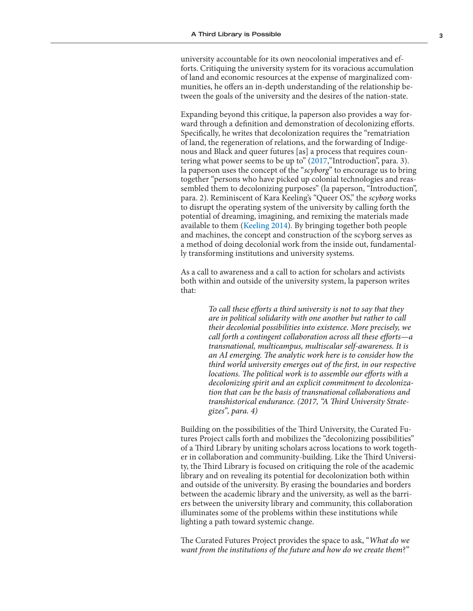university accountable for its own neocolonial imperatives and efforts. Critiquing the university system for its voracious accumulation of land and economic resources at the expense of marginalized communities, he offers an in-depth understanding of the relationship between the goals of the university and the desires of the nation-state.

Expanding beyond this critique, la paperson also provides a way forward through a definition and demonstration of decolonizing efforts. Specifically, he writes that decolonization requires the "rematriation of land, the regeneration of relations, and the forwarding of Indigenous and Black and queer futures [as] a process that requires coun-tering what power seems to be up to" ([2017](https://www.upress.umn.edu/book-division/books/a-third-university-is-possible), "Introduction", para. 3). la paperson uses the concept of the "*scyborg*" to encourage us to bring together "persons who have picked up colonial technologies and reassembled them to decolonizing purposes" (la paperson, "Introduction", para. 2). Reminiscent of Kara Keeling's "Queer OS," the *scyborg* works to disrupt the operating system of the university by calling forth the potential of dreaming, imagining, and remixing the materials made available to them ([Keeling 2014](https://muse.jhu.edu/article/535715)). By bringing together both people and machines, the concept and construction of the scyborg serves as a method of doing decolonial work from the inside out, fundamentally transforming institutions and university systems.

As a call to awareness and a call to action for scholars and activists both within and outside of the university system, la paperson writes that:

> *To call these efforts a third university is not to say that they are in political solidarity with one another but rather to call their decolonial possibilities into existence. More precisely, we call forth a contingent collaboration across all these efforts—a transnational, multicampus, multiscalar self-awareness. It is an AI emerging. The analytic work here is to consider how the third world university emerges out of the first, in our respective locations. The political work is to assemble our efforts with a decolonizing spirit and an explicit commitment to decolonization that can be the basis of transnational collaborations and transhistorical endurance. (2017, "A Third University Strategizes", para. 4)*

Building on the possibilities of the Third University, the Curated Futures Project calls forth and mobilizes the "decolonizing possibilities" of a Third Library by uniting scholars across locations to work together in collaboration and community-building. Like the Third University, the Third Library is focused on critiquing the role of the academic library and on revealing its potential for decolonization both within and outside of the university. By erasing the boundaries and borders between the academic library and the university, as well as the barriers between the university library and community, this collaboration illuminates some of the problems within these institutions while lighting a path toward systemic change.

The Curated Futures Project provides the space to ask, "*What do we want from the institutions of the future and how do we create them*?"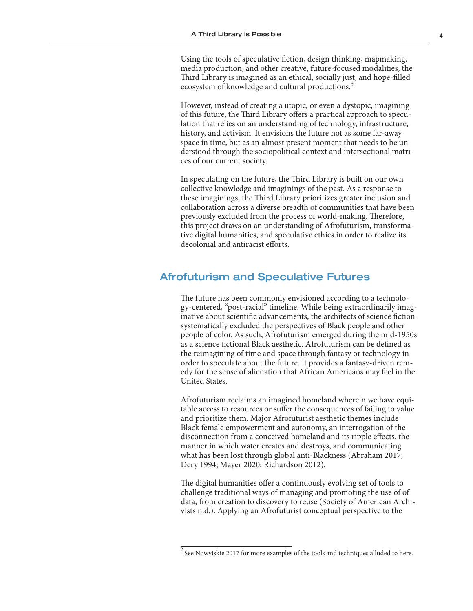ecosystem of knowledge and cultural productions.<sup>2</sup> Using the tools of speculative fiction, design thinking, mapmaking, media production, and other creative, future-focused modalities, the Third Library is imagined as an ethical, socially just, and hope-filled

However, instead of creating a utopic, or even a dystopic, imagining of this future, the Third Library offers a practical approach to speculation that relies on an understanding of technology, infrastructure, history, and activism. It envisions the future not as some far-away space in time, but as an almost present moment that needs to be understood through the sociopolitical context and intersectional matrices of our current society.

In speculating on the future, the Third Library is built on our own collective knowledge and imaginings of the past. As a response to these imaginings, the Third Library prioritizes greater inclusion and collaboration across a diverse breadth of communities that have been previously excluded from the process of world-making. Therefore, this project draws on an understanding of Afrofuturism, transformative digital humanities, and speculative ethics in order to realize its decolonial and antiracist efforts.

# Afrofuturism and Speculative Futures

The future has been commonly envisioned according to a technology-centered, "post-racial" timeline. While being extraordinarily imaginative about scientific advancements, the architects of science fiction systematically excluded the perspectives of Black people and other people of color. As such, Afrofuturism emerged during the mid-1950s as a science fictional Black aesthetic. Afrofuturism can be defined as the reimagining of time and space through fantasy or technology in order to speculate about the future. It provides a fantasy-driven remedy for the sense of alienation that African Americans may feel in the United States.

Afrofuturism reclaims an imagined homeland wherein we have equitable access to resources or suffer the consequences of failing to value and prioritize them. Major Afrofuturist aesthetic themes include Black female empowerment and autonomy, an interrogation of the disconnection from a conceived homeland and its ripple effects, the manner in which water creates and destroys, and communicating what has been lost through global anti-Blackness (Abraham 2017; Dery 1994; Mayer 2020; Richardson 2012).

The digital humanities offer a continuously evolving set of tools to challenge traditional ways of managing and promoting the use of of data, from creation to discovery to reuse (Society of American Archivists n.d.). Applying an Afrofuturist conceptual perspective to the

 $^2$  See Nowviskie 2017 for more examples of the tools and techniques alluded to here.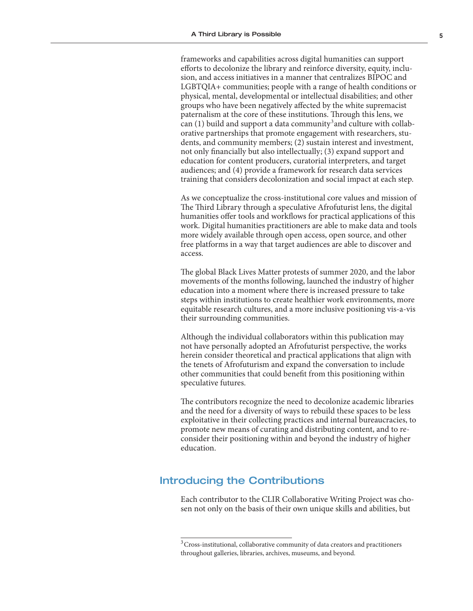can (1) build and support a data community<sup>3</sup> and culture with collabframeworks and capabilities across digital humanities can support efforts to decolonize the library and reinforce diversity, equity, inclusion, and access initiatives in a manner that centralizes BIPOC and LGBTQIA+ communities; people with a range of health conditions or physical, mental, developmental or intellectual disabilities; and other groups who have been negatively affected by the white supremacist paternalism at the core of these institutions. Through this lens, we orative partnerships that promote engagement with researchers, students, and community members; (2) sustain interest and investment, not only financially but also intellectually; (3) expand support and education for content producers, curatorial interpreters, and target audiences; and (4) provide a framework for research data services training that considers decolonization and social impact at each step.

As we conceptualize the cross-institutional core values and mission of The Third Library through a speculative Afrofuturist lens, the digital humanities offer tools and workflows for practical applications of this work. Digital humanities practitioners are able to make data and tools more widely available through open access, open source, and other free platforms in a way that target audiences are able to discover and access.

The global Black Lives Matter protests of summer 2020, and the labor movements of the months following, launched the industry of higher education into a moment where there is increased pressure to take steps within institutions to create healthier work environments, more equitable research cultures, and a more inclusive positioning vis-a-vis their surrounding communities.

Although the individual collaborators within this publication may not have personally adopted an Afrofuturist perspective, the works herein consider theoretical and practical applications that align with the tenets of Afrofuturism and expand the conversation to include other communities that could benefit from this positioning within speculative futures.

The contributors recognize the need to decolonize academic libraries and the need for a diversity of ways to rebuild these spaces to be less exploitative in their collecting practices and internal bureaucracies, to promote new means of curating and distributing content, and to reconsider their positioning within and beyond the industry of higher education.

# Introducing the Contributions

Each contributor to the CLIR Collaborative Writing Project was chosen not only on the basis of their own unique skills and abilities, but

 $^3$ Cross-institutional, collaborative community of data creators and practitioners throughout galleries, libraries, archives, museums, and beyond.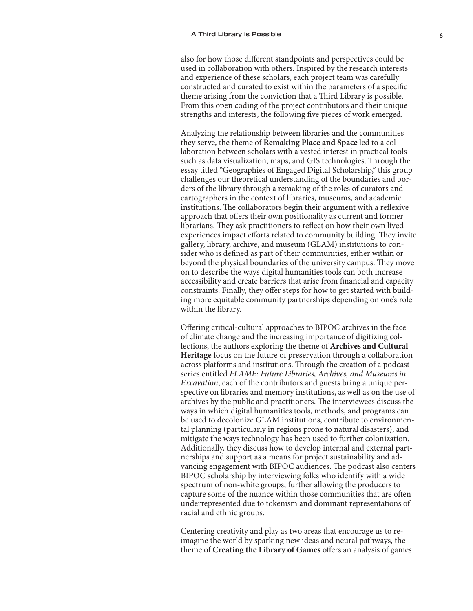also for how those different standpoints and perspectives could be used in collaboration with others. Inspired by the research interests and experience of these scholars, each project team was carefully constructed and curated to exist within the parameters of a specific theme arising from the conviction that a Third Library is possible. From this open coding of the project contributors and their unique strengths and interests, the following five pieces of work emerged.

Analyzing the relationship between libraries and the communities they serve, the theme of **Remaking Place and Space** led to a collaboration between scholars with a vested interest in practical tools such as data visualization, maps, and GIS technologies. Through the essay titled "Geographies of Engaged Digital Scholarship," this group challenges our theoretical understanding of the boundaries and borders of the library through a remaking of the roles of curators and cartographers in the context of libraries, museums, and academic institutions. The collaborators begin their argument with a reflexive approach that offers their own positionality as current and former librarians. They ask practitioners to reflect on how their own lived experiences impact efforts related to community building. They invite gallery, library, archive, and museum (GLAM) institutions to consider who is defined as part of their communities, either within or beyond the physical boundaries of the university campus. They move on to describe the ways digital humanities tools can both increase accessibility and create barriers that arise from financial and capacity constraints. Finally, they offer steps for how to get started with building more equitable community partnerships depending on one's role within the library.

Offering critical-cultural approaches to BIPOC archives in the face of climate change and the increasing importance of digitizing collections, the authors exploring the theme of **Archives and Cultural Heritage** focus on the future of preservation through a collaboration across platforms and institutions. Through the creation of a podcast series entitled *FLAME: Future Libraries, Archives, and Museums in Excavation*, each of the contributors and guests bring a unique perspective on libraries and memory institutions, as well as on the use of archives by the public and practitioners. The interviewees discuss the ways in which digital humanities tools, methods, and programs can be used to decolonize GLAM institutions, contribute to environmental planning (particularly in regions prone to natural disasters), and mitigate the ways technology has been used to further colonization. Additionally, they discuss how to develop internal and external partnerships and support as a means for project sustainability and advancing engagement with BIPOC audiences. The podcast also centers BIPOC scholarship by interviewing folks who identify with a wide spectrum of non-white groups, further allowing the producers to capture some of the nuance within those communities that are often underrepresented due to tokenism and dominant representations of racial and ethnic groups.

Centering creativity and play as two areas that encourage us to reimagine the world by sparking new ideas and neural pathways, the theme of **Creating the Library of Games** offers an analysis of games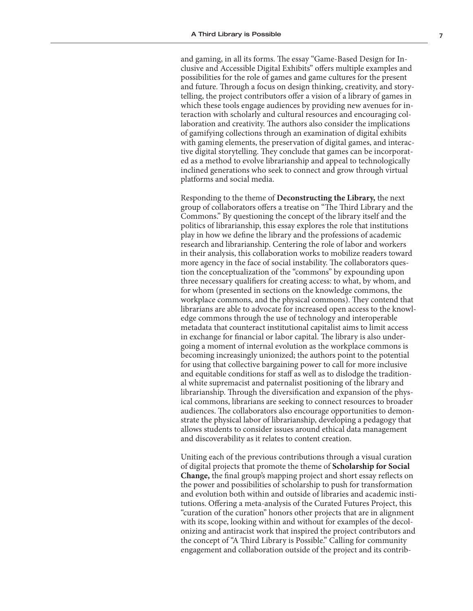and gaming, in all its forms. The essay "Game-Based Design for Inclusive and Accessible Digital Exhibits" offers multiple examples and possibilities for the role of games and game cultures for the present and future. Through a focus on design thinking, creativity, and storytelling, the project contributors offer a vision of a library of games in which these tools engage audiences by providing new avenues for interaction with scholarly and cultural resources and encouraging collaboration and creativity. The authors also consider the implications of gamifying collections through an examination of digital exhibits with gaming elements, the preservation of digital games, and interactive digital storytelling. They conclude that games can be incorporated as a method to evolve librarianship and appeal to technologically inclined generations who seek to connect and grow through virtual platforms and social media.

Responding to the theme of **Deconstructing the Library,** the next group of collaborators offers a treatise on "The Third Library and the Commons." By questioning the concept of the library itself and the politics of librarianship, this essay explores the role that institutions play in how we define the library and the professions of academic research and librarianship. Centering the role of labor and workers in their analysis, this collaboration works to mobilize readers toward more agency in the face of social instability. The collaborators question the conceptualization of the "commons" by expounding upon three necessary qualifiers for creating access: to what, by whom, and for whom (presented in sections on the knowledge commons, the workplace commons, and the physical commons). They contend that librarians are able to advocate for increased open access to the knowledge commons through the use of technology and interoperable metadata that counteract institutional capitalist aims to limit access in exchange for financial or labor capital. The library is also undergoing a moment of internal evolution as the workplace commons is becoming increasingly unionized; the authors point to the potential for using that collective bargaining power to call for more inclusive and equitable conditions for staff as well as to dislodge the traditional white supremacist and paternalist positioning of the library and librarianship. Through the diversification and expansion of the physical commons, librarians are seeking to connect resources to broader audiences. The collaborators also encourage opportunities to demonstrate the physical labor of librarianship, developing a pedagogy that allows students to consider issues around ethical data management and discoverability as it relates to content creation.

Uniting each of the previous contributions through a visual curation of digital projects that promote the theme of **Scholarship for Social Change,** the final group's mapping project and short essay reflects on the power and possibilities of scholarship to push for transformation and evolution both within and outside of libraries and academic institutions. Offering a meta-analysis of the Curated Futures Project, this "curation of the curation" honors other projects that are in alignment with its scope, looking within and without for examples of the decolonizing and antiracist work that inspired the project contributors and the concept of "A Third Library is Possible." Calling for community engagement and collaboration outside of the project and its contrib